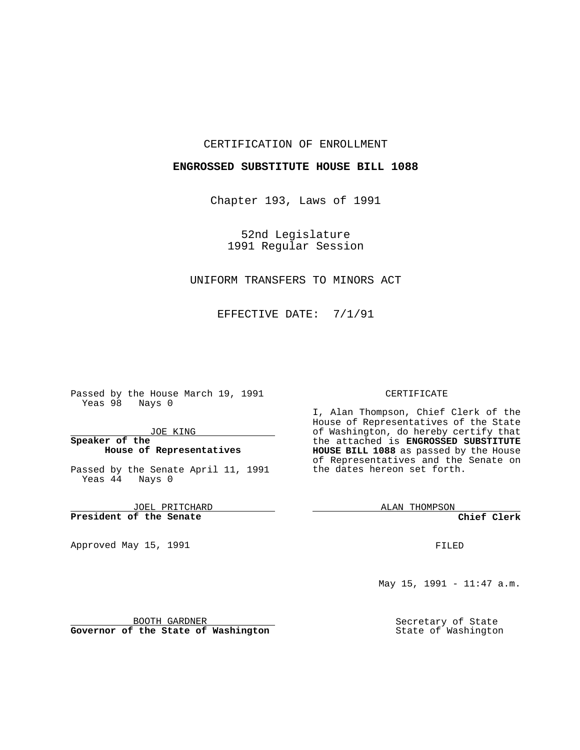#### CERTIFICATION OF ENROLLMENT

#### **ENGROSSED SUBSTITUTE HOUSE BILL 1088**

Chapter 193, Laws of 1991

52nd Legislature 1991 Regular Session

## UNIFORM TRANSFERS TO MINORS ACT

EFFECTIVE DATE: 7/1/91

Passed by the House March 19, 1991 Yeas 98 Nays 0

JOE KING

#### **Speaker of the House of Representatives**

Passed by the Senate April 11, 1991 Yeas 44 Nays 0

JOEL PRITCHARD **President of the Senate**

Approved May 15, 1991

#### CERTIFICATE

I, Alan Thompson, Chief Clerk of the House of Representatives of the State of Washington, do hereby certify that the attached is **ENGROSSED SUBSTITUTE HOUSE BILL 1088** as passed by the House of Representatives and the Senate on the dates hereon set forth.

ALAN THOMPSON

**Chief Clerk**

FILED

May 15, 1991 - 11:47 a.m.

Secretary of State State of Washington

BOOTH GARDNER **Governor of the State of Washington**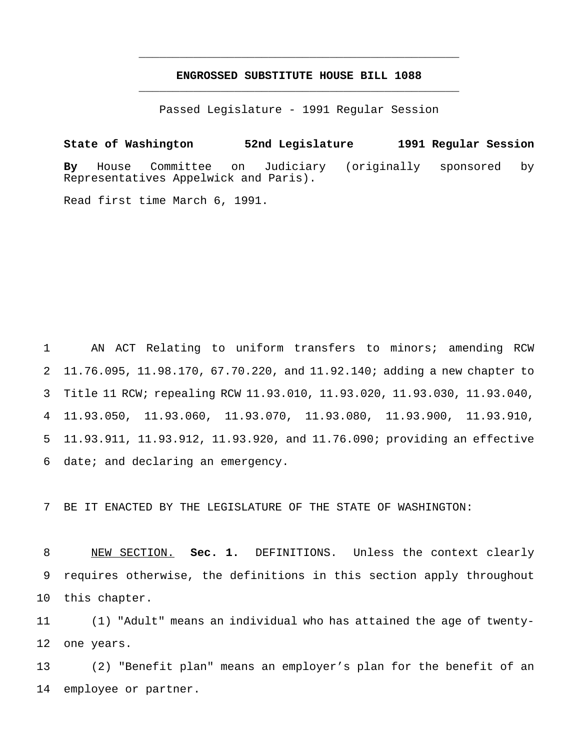## **ENGROSSED SUBSTITUTE HOUSE BILL 1088** \_\_\_\_\_\_\_\_\_\_\_\_\_\_\_\_\_\_\_\_\_\_\_\_\_\_\_\_\_\_\_\_\_\_\_\_\_\_\_\_\_\_\_\_\_\_\_

\_\_\_\_\_\_\_\_\_\_\_\_\_\_\_\_\_\_\_\_\_\_\_\_\_\_\_\_\_\_\_\_\_\_\_\_\_\_\_\_\_\_\_\_\_\_\_

Passed Legislature - 1991 Regular Session

**State of Washington 52nd Legislature 1991 Regular Session By** House Committee on Judiciary (originally sponsored by Representatives Appelwick and Paris).

Read first time March 6, 1991.

 AN ACT Relating to uniform transfers to minors; amending RCW 11.76.095, 11.98.170, 67.70.220, and 11.92.140; adding a new chapter to Title 11 RCW; repealing RCW 11.93.010, 11.93.020, 11.93.030, 11.93.040, 11.93.050, 11.93.060, 11.93.070, 11.93.080, 11.93.900, 11.93.910, 11.93.911, 11.93.912, 11.93.920, and 11.76.090; providing an effective date; and declaring an emergency.

BE IT ENACTED BY THE LEGISLATURE OF THE STATE OF WASHINGTON:

 NEW SECTION. **Sec. 1.** DEFINITIONS. Unless the context clearly requires otherwise, the definitions in this section apply throughout this chapter.

 (1) "Adult" means an individual who has attained the age of twenty-one years.

 (2) "Benefit plan" means an employer's plan for the benefit of an employee or partner.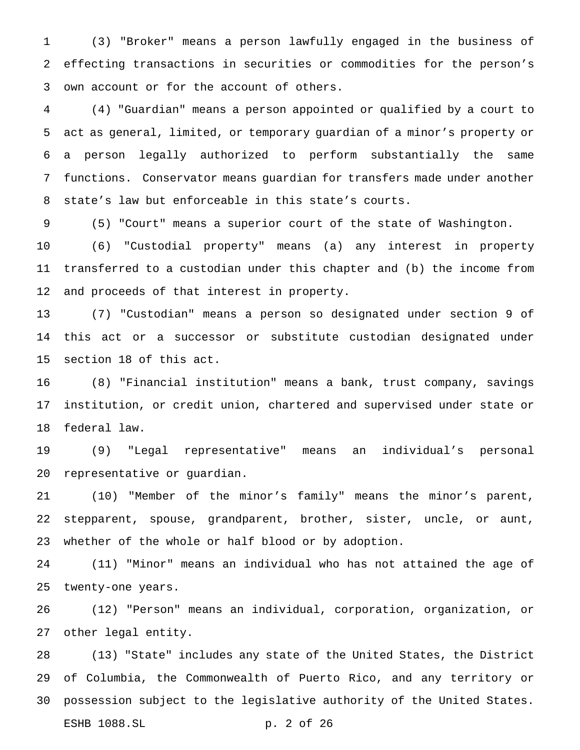(3) "Broker" means a person lawfully engaged in the business of effecting transactions in securities or commodities for the person's own account or for the account of others.

 (4) "Guardian" means a person appointed or qualified by a court to act as general, limited, or temporary guardian of a minor's property or a person legally authorized to perform substantially the same functions. Conservator means guardian for transfers made under another state's law but enforceable in this state's courts.

(5) "Court" means a superior court of the state of Washington.

 (6) "Custodial property" means (a) any interest in property transferred to a custodian under this chapter and (b) the income from and proceeds of that interest in property.

 (7) "Custodian" means a person so designated under section 9 of this act or a successor or substitute custodian designated under section 18 of this act.

 (8) "Financial institution" means a bank, trust company, savings institution, or credit union, chartered and supervised under state or federal law.

 (9) "Legal representative" means an individual's personal representative or guardian.

 (10) "Member of the minor's family" means the minor's parent, stepparent, spouse, grandparent, brother, sister, uncle, or aunt, whether of the whole or half blood or by adoption.

 (11) "Minor" means an individual who has not attained the age of twenty-one years.

 (12) "Person" means an individual, corporation, organization, or other legal entity.

 (13) "State" includes any state of the United States, the District of Columbia, the Commonwealth of Puerto Rico, and any territory or possession subject to the legislative authority of the United States. ESHB 1088.SL p. 2 of 26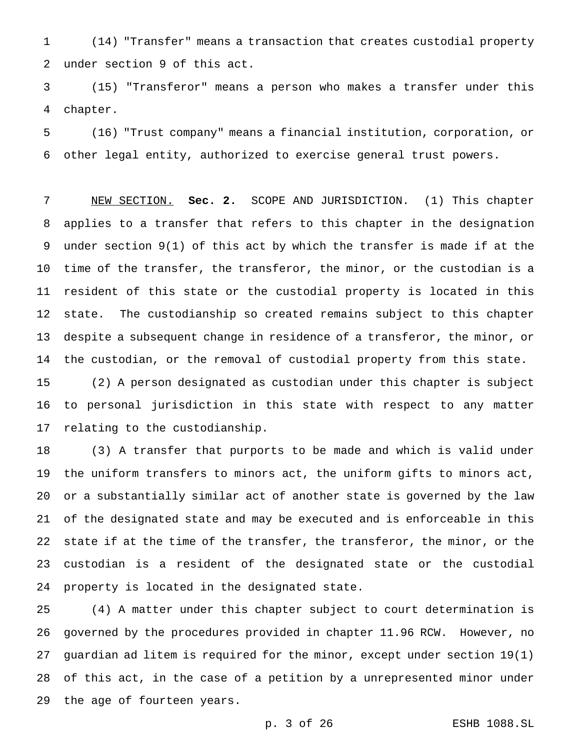(14) "Transfer" means a transaction that creates custodial property under section 9 of this act.

 (15) "Transferor" means a person who makes a transfer under this chapter.

 (16) "Trust company" means a financial institution, corporation, or other legal entity, authorized to exercise general trust powers.

 NEW SECTION. **Sec. 2.** SCOPE AND JURISDICTION. (1) This chapter applies to a transfer that refers to this chapter in the designation under section 9(1) of this act by which the transfer is made if at the time of the transfer, the transferor, the minor, or the custodian is a resident of this state or the custodial property is located in this state. The custodianship so created remains subject to this chapter despite a subsequent change in residence of a transferor, the minor, or the custodian, or the removal of custodial property from this state.

 (2) A person designated as custodian under this chapter is subject to personal jurisdiction in this state with respect to any matter relating to the custodianship.

 (3) A transfer that purports to be made and which is valid under the uniform transfers to minors act, the uniform gifts to minors act, or a substantially similar act of another state is governed by the law of the designated state and may be executed and is enforceable in this state if at the time of the transfer, the transferor, the minor, or the custodian is a resident of the designated state or the custodial property is located in the designated state.

 (4) A matter under this chapter subject to court determination is governed by the procedures provided in chapter 11.96 RCW. However, no guardian ad litem is required for the minor, except under section 19(1) of this act, in the case of a petition by a unrepresented minor under the age of fourteen years.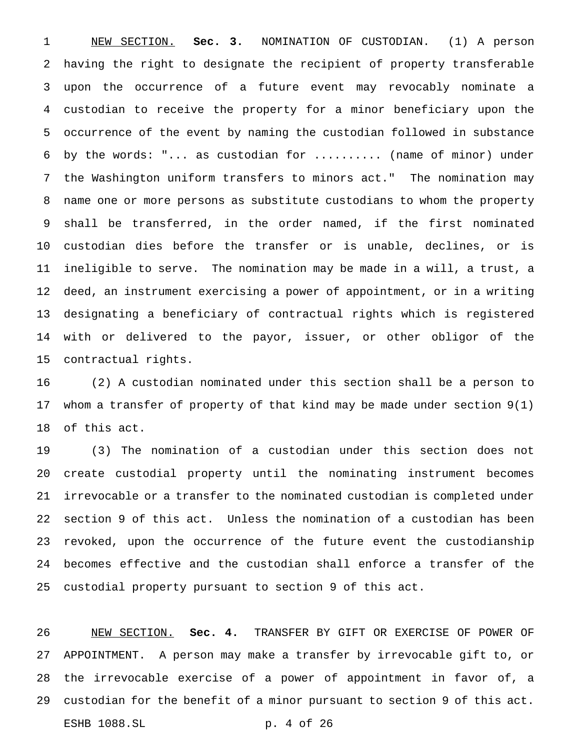NEW SECTION. **Sec. 3.** NOMINATION OF CUSTODIAN. (1) A person having the right to designate the recipient of property transferable upon the occurrence of a future event may revocably nominate a custodian to receive the property for a minor beneficiary upon the occurrence of the event by naming the custodian followed in substance by the words: "... as custodian for .......... (name of minor) under the Washington uniform transfers to minors act." The nomination may name one or more persons as substitute custodians to whom the property shall be transferred, in the order named, if the first nominated custodian dies before the transfer or is unable, declines, or is ineligible to serve. The nomination may be made in a will, a trust, a deed, an instrument exercising a power of appointment, or in a writing designating a beneficiary of contractual rights which is registered with or delivered to the payor, issuer, or other obligor of the contractual rights.

 (2) A custodian nominated under this section shall be a person to whom a transfer of property of that kind may be made under section 9(1) of this act.

 (3) The nomination of a custodian under this section does not create custodial property until the nominating instrument becomes irrevocable or a transfer to the nominated custodian is completed under section 9 of this act. Unless the nomination of a custodian has been revoked, upon the occurrence of the future event the custodianship becomes effective and the custodian shall enforce a transfer of the custodial property pursuant to section 9 of this act.

 NEW SECTION. **Sec. 4.** TRANSFER BY GIFT OR EXERCISE OF POWER OF APPOINTMENT. A person may make a transfer by irrevocable gift to, or the irrevocable exercise of a power of appointment in favor of, a custodian for the benefit of a minor pursuant to section 9 of this act. ESHB 1088.SL p. 4 of 26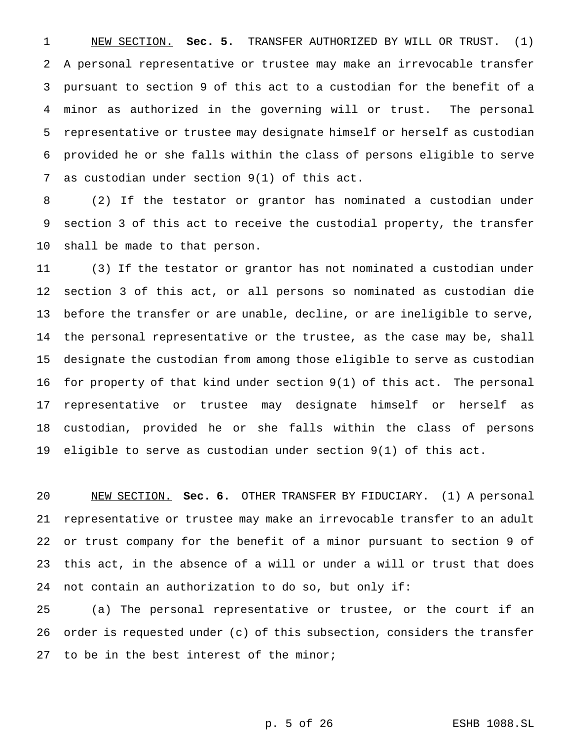NEW SECTION. **Sec. 5.** TRANSFER AUTHORIZED BY WILL OR TRUST. (1) A personal representative or trustee may make an irrevocable transfer pursuant to section 9 of this act to a custodian for the benefit of a minor as authorized in the governing will or trust. The personal representative or trustee may designate himself or herself as custodian provided he or she falls within the class of persons eligible to serve as custodian under section 9(1) of this act.

 (2) If the testator or grantor has nominated a custodian under section 3 of this act to receive the custodial property, the transfer shall be made to that person.

 (3) If the testator or grantor has not nominated a custodian under section 3 of this act, or all persons so nominated as custodian die before the transfer or are unable, decline, or are ineligible to serve, the personal representative or the trustee, as the case may be, shall designate the custodian from among those eligible to serve as custodian for property of that kind under section 9(1) of this act. The personal representative or trustee may designate himself or herself as custodian, provided he or she falls within the class of persons eligible to serve as custodian under section 9(1) of this act.

 NEW SECTION. **Sec. 6.** OTHER TRANSFER BY FIDUCIARY. (1) A personal representative or trustee may make an irrevocable transfer to an adult or trust company for the benefit of a minor pursuant to section 9 of this act, in the absence of a will or under a will or trust that does not contain an authorization to do so, but only if:

 (a) The personal representative or trustee, or the court if an order is requested under (c) of this subsection, considers the transfer 27 to be in the best interest of the minor;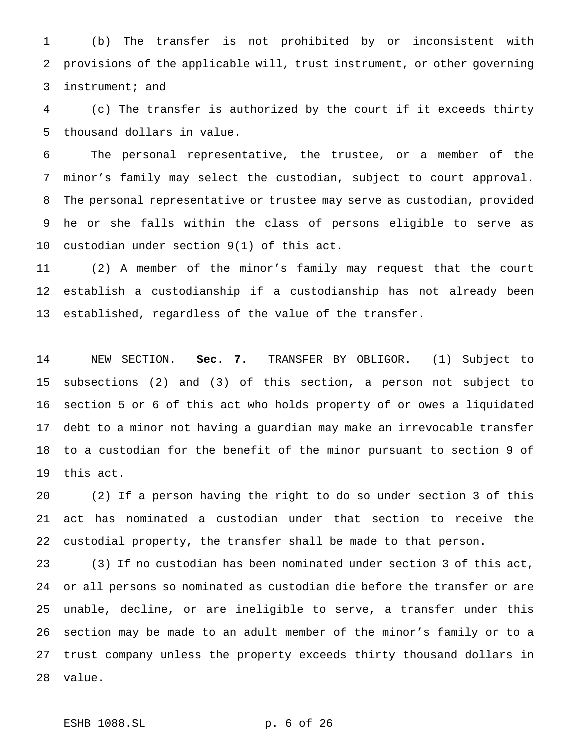(b) The transfer is not prohibited by or inconsistent with provisions of the applicable will, trust instrument, or other governing instrument; and

 (c) The transfer is authorized by the court if it exceeds thirty thousand dollars in value.

 The personal representative, the trustee, or a member of the minor's family may select the custodian, subject to court approval. The personal representative or trustee may serve as custodian, provided he or she falls within the class of persons eligible to serve as custodian under section 9(1) of this act.

 (2) A member of the minor's family may request that the court establish a custodianship if a custodianship has not already been established, regardless of the value of the transfer.

 NEW SECTION. **Sec. 7.** TRANSFER BY OBLIGOR. (1) Subject to subsections (2) and (3) of this section, a person not subject to section 5 or 6 of this act who holds property of or owes a liquidated debt to a minor not having a guardian may make an irrevocable transfer to a custodian for the benefit of the minor pursuant to section 9 of this act.

 (2) If a person having the right to do so under section 3 of this act has nominated a custodian under that section to receive the custodial property, the transfer shall be made to that person.

 (3) If no custodian has been nominated under section 3 of this act, or all persons so nominated as custodian die before the transfer or are unable, decline, or are ineligible to serve, a transfer under this section may be made to an adult member of the minor's family or to a trust company unless the property exceeds thirty thousand dollars in value.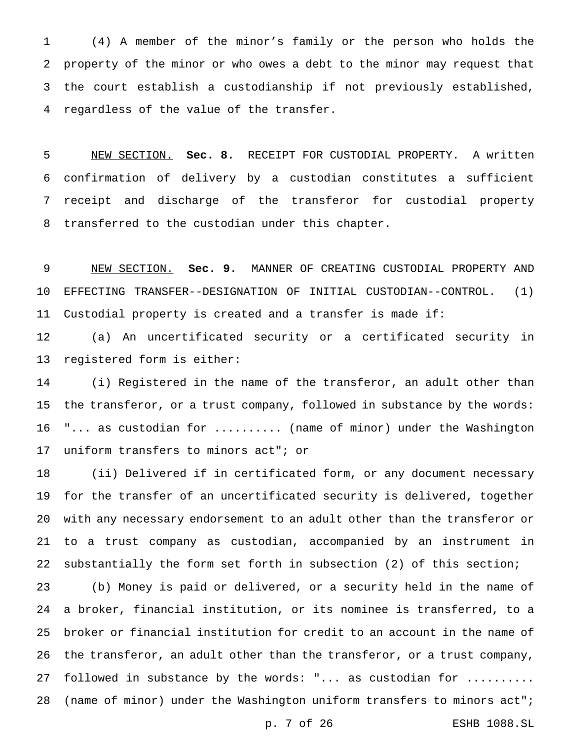(4) A member of the minor's family or the person who holds the property of the minor or who owes a debt to the minor may request that the court establish a custodianship if not previously established, regardless of the value of the transfer.

 NEW SECTION. **Sec. 8.** RECEIPT FOR CUSTODIAL PROPERTY. A written confirmation of delivery by a custodian constitutes a sufficient receipt and discharge of the transferor for custodial property transferred to the custodian under this chapter.

 NEW SECTION. **Sec. 9.** MANNER OF CREATING CUSTODIAL PROPERTY AND EFFECTING TRANSFER--DESIGNATION OF INITIAL CUSTODIAN--CONTROL. (1) Custodial property is created and a transfer is made if:

 (a) An uncertificated security or a certificated security in registered form is either:

 (i) Registered in the name of the transferor, an adult other than the transferor, or a trust company, followed in substance by the words: 16 "... as custodian for .......... (name of minor) under the Washington uniform transfers to minors act"; or

 (ii) Delivered if in certificated form, or any document necessary for the transfer of an uncertificated security is delivered, together with any necessary endorsement to an adult other than the transferor or to a trust company as custodian, accompanied by an instrument in substantially the form set forth in subsection (2) of this section;

 (b) Money is paid or delivered, or a security held in the name of a broker, financial institution, or its nominee is transferred, to a broker or financial institution for credit to an account in the name of the transferor, an adult other than the transferor, or a trust company, 27 followed in substance by the words: "... as custodian for .......... (name of minor) under the Washington uniform transfers to minors act";

p. 7 of 26 ESHB 1088.SL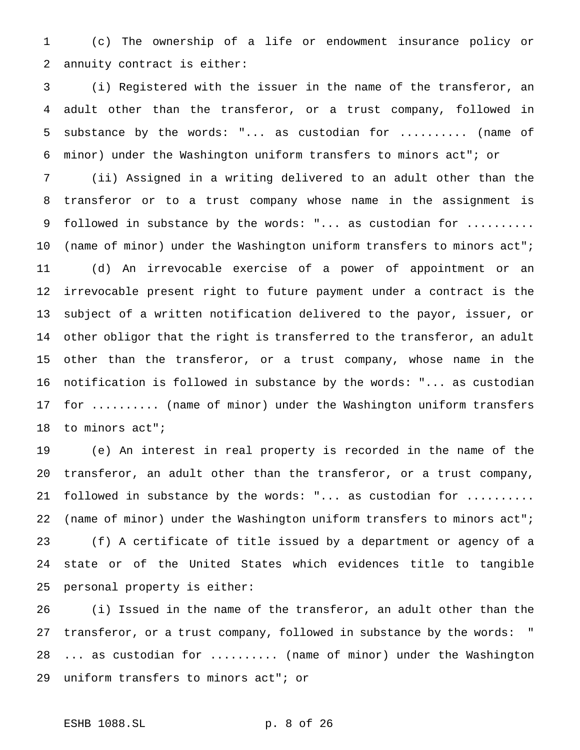(c) The ownership of a life or endowment insurance policy or annuity contract is either:

 (i) Registered with the issuer in the name of the transferor, an adult other than the transferor, or a trust company, followed in substance by the words: "... as custodian for .......... (name of minor) under the Washington uniform transfers to minors act"; or

 (ii) Assigned in a writing delivered to an adult other than the transferor or to a trust company whose name in the assignment is 9 followed in substance by the words: "... as custodian for .......... (name of minor) under the Washington uniform transfers to minors act"; (d) An irrevocable exercise of a power of appointment or an irrevocable present right to future payment under a contract is the subject of a written notification delivered to the payor, issuer, or other obligor that the right is transferred to the transferor, an adult other than the transferor, or a trust company, whose name in the notification is followed in substance by the words: "... as custodian for .......... (name of minor) under the Washington uniform transfers 18 to minors act";

 (e) An interest in real property is recorded in the name of the transferor, an adult other than the transferor, or a trust company, 21 followed in substance by the words: "... as custodian for .......... (name of minor) under the Washington uniform transfers to minors act"; (f) A certificate of title issued by a department or agency of a state or of the United States which evidences title to tangible personal property is either:

 (i) Issued in the name of the transferor, an adult other than the transferor, or a trust company, followed in substance by the words: " ... as custodian for .......... (name of minor) under the Washington uniform transfers to minors act"; or

## ESHB 1088.SL p. 8 of 26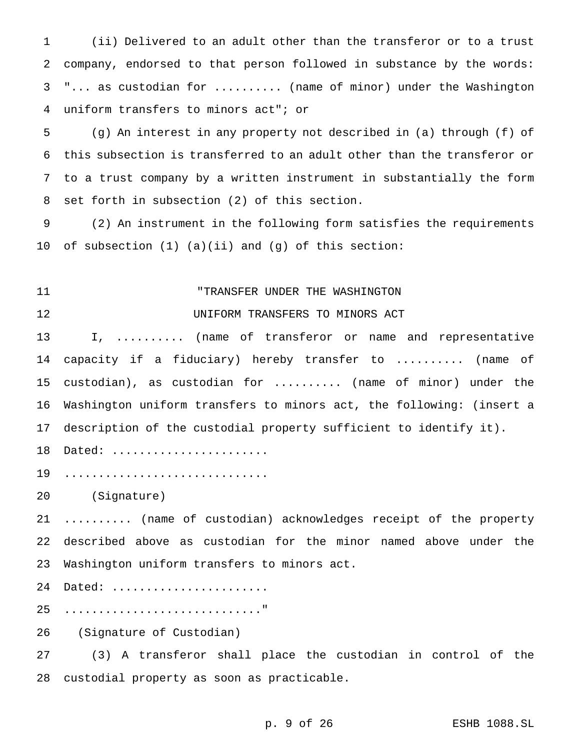(ii) Delivered to an adult other than the transferor or to a trust company, endorsed to that person followed in substance by the words: "... as custodian for .......... (name of minor) under the Washington uniform transfers to minors act"; or

 (g) An interest in any property not described in (a) through (f) of this subsection is transferred to an adult other than the transferor or to a trust company by a written instrument in substantially the form set forth in subsection (2) of this section.

 (2) An instrument in the following form satisfies the requirements of subsection (1) (a)(ii) and (g) of this section:

# "TRANSFER UNDER THE WASHINGTON

UNIFORM TRANSFERS TO MINORS ACT

 I, .......... (name of transferor or name and representative capacity if a fiduciary) hereby transfer to .......... (name of custodian), as custodian for .......... (name of minor) under the Washington uniform transfers to minors act, the following: (insert a description of the custodial property sufficient to identify it).

18 Dated: ........................

19 ..................................

(Signature)

 .......... (name of custodian) acknowledges receipt of the property described above as custodian for the minor named above under the Washington uniform transfers to minors act.

24 Dated: .......................

............................."

(Signature of Custodian)

 (3) A transferor shall place the custodian in control of the custodial property as soon as practicable.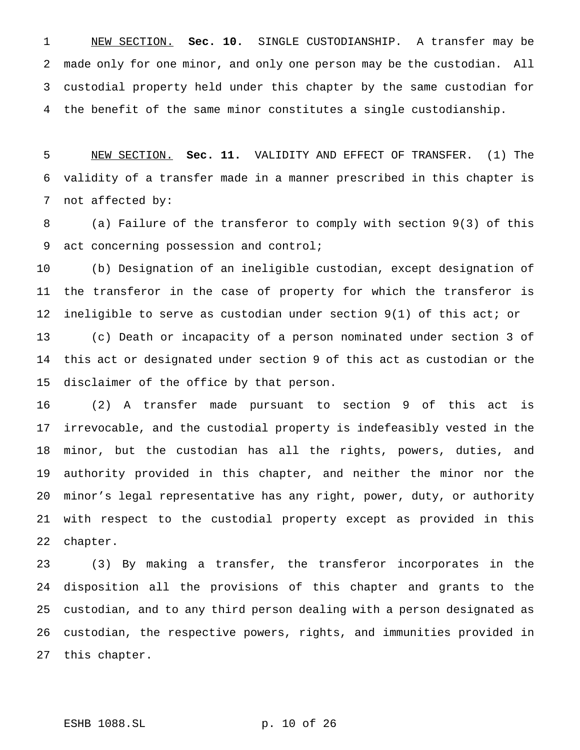NEW SECTION. **Sec. 10.** SINGLE CUSTODIANSHIP. A transfer may be made only for one minor, and only one person may be the custodian. All custodial property held under this chapter by the same custodian for the benefit of the same minor constitutes a single custodianship.

 NEW SECTION. **Sec. 11.** VALIDITY AND EFFECT OF TRANSFER. (1) The validity of a transfer made in a manner prescribed in this chapter is not affected by:

 (a) Failure of the transferor to comply with section 9(3) of this act concerning possession and control;

 (b) Designation of an ineligible custodian, except designation of the transferor in the case of property for which the transferor is ineligible to serve as custodian under section 9(1) of this act; or (c) Death or incapacity of a person nominated under section 3 of this act or designated under section 9 of this act as custodian or the disclaimer of the office by that person.

 (2) A transfer made pursuant to section 9 of this act is irrevocable, and the custodial property is indefeasibly vested in the minor, but the custodian has all the rights, powers, duties, and authority provided in this chapter, and neither the minor nor the minor's legal representative has any right, power, duty, or authority with respect to the custodial property except as provided in this chapter.

 (3) By making a transfer, the transferor incorporates in the disposition all the provisions of this chapter and grants to the custodian, and to any third person dealing with a person designated as custodian, the respective powers, rights, and immunities provided in this chapter.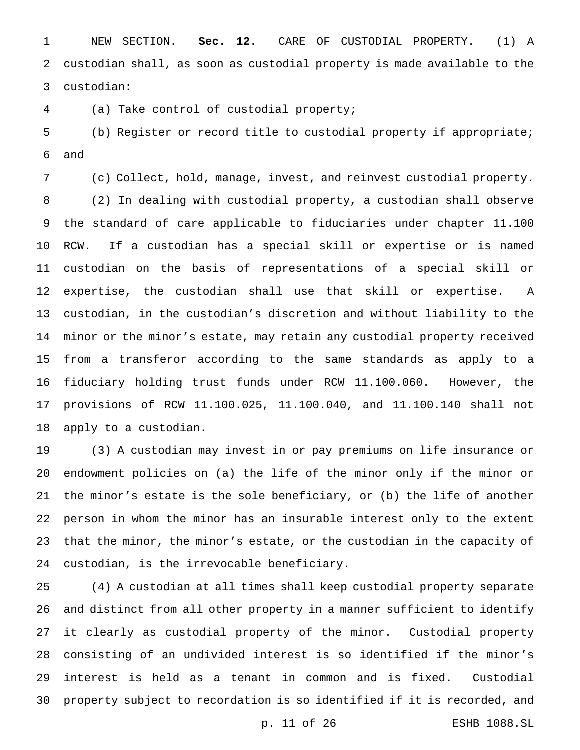NEW SECTION. **Sec. 12.** CARE OF CUSTODIAL PROPERTY. (1) A custodian shall, as soon as custodial property is made available to the custodian:

(a) Take control of custodial property;

 (b) Register or record title to custodial property if appropriate; and

 (c) Collect, hold, manage, invest, and reinvest custodial property. (2) In dealing with custodial property, a custodian shall observe the standard of care applicable to fiduciaries under chapter 11.100 RCW. If a custodian has a special skill or expertise or is named custodian on the basis of representations of a special skill or expertise, the custodian shall use that skill or expertise. A custodian, in the custodian's discretion and without liability to the minor or the minor's estate, may retain any custodial property received from a transferor according to the same standards as apply to a fiduciary holding trust funds under RCW 11.100.060. However, the provisions of RCW 11.100.025, 11.100.040, and 11.100.140 shall not apply to a custodian.

 (3) A custodian may invest in or pay premiums on life insurance or endowment policies on (a) the life of the minor only if the minor or the minor's estate is the sole beneficiary, or (b) the life of another person in whom the minor has an insurable interest only to the extent that the minor, the minor's estate, or the custodian in the capacity of custodian, is the irrevocable beneficiary.

 (4) A custodian at all times shall keep custodial property separate and distinct from all other property in a manner sufficient to identify it clearly as custodial property of the minor. Custodial property consisting of an undivided interest is so identified if the minor's interest is held as a tenant in common and is fixed. Custodial property subject to recordation is so identified if it is recorded, and

p. 11 of 26 ESHB 1088.SL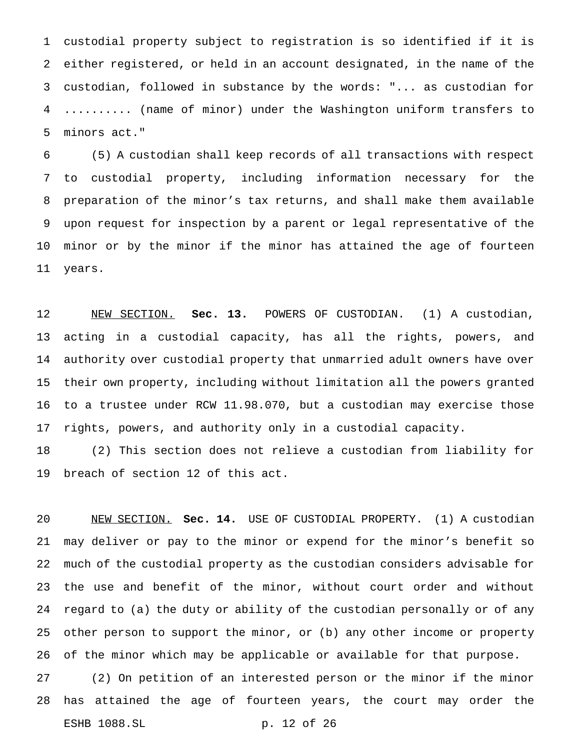custodial property subject to registration is so identified if it is either registered, or held in an account designated, in the name of the custodian, followed in substance by the words: "... as custodian for .......... (name of minor) under the Washington uniform transfers to minors act."

 (5) A custodian shall keep records of all transactions with respect to custodial property, including information necessary for the preparation of the minor's tax returns, and shall make them available upon request for inspection by a parent or legal representative of the minor or by the minor if the minor has attained the age of fourteen years.

 NEW SECTION. **Sec. 13.** POWERS OF CUSTODIAN. (1) A custodian, acting in a custodial capacity, has all the rights, powers, and authority over custodial property that unmarried adult owners have over their own property, including without limitation all the powers granted to a trustee under RCW 11.98.070, but a custodian may exercise those rights, powers, and authority only in a custodial capacity.

 (2) This section does not relieve a custodian from liability for breach of section 12 of this act.

 NEW SECTION. **Sec. 14.** USE OF CUSTODIAL PROPERTY. (1) A custodian may deliver or pay to the minor or expend for the minor's benefit so much of the custodial property as the custodian considers advisable for the use and benefit of the minor, without court order and without regard to (a) the duty or ability of the custodian personally or of any other person to support the minor, or (b) any other income or property of the minor which may be applicable or available for that purpose. (2) On petition of an interested person or the minor if the minor

 has attained the age of fourteen years, the court may order the ESHB 1088.SL p. 12 of 26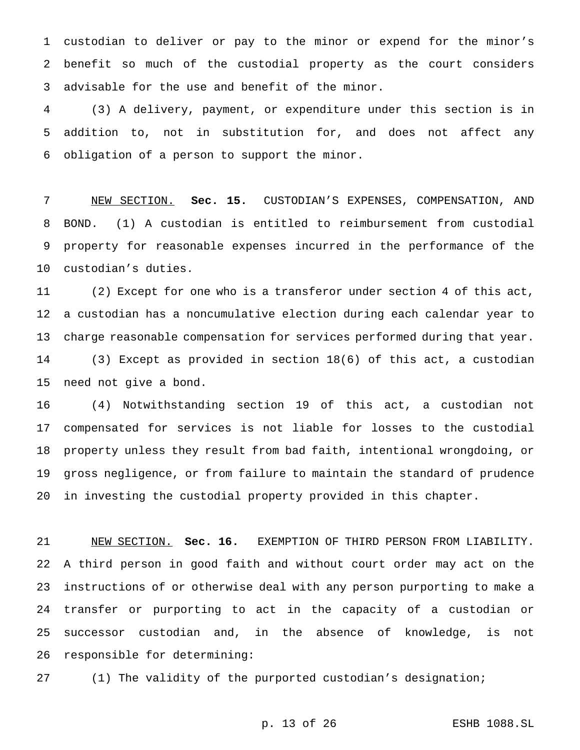custodian to deliver or pay to the minor or expend for the minor's benefit so much of the custodial property as the court considers advisable for the use and benefit of the minor.

 (3) A delivery, payment, or expenditure under this section is in addition to, not in substitution for, and does not affect any obligation of a person to support the minor.

 NEW SECTION. **Sec. 15.** CUSTODIAN'S EXPENSES, COMPENSATION, AND BOND. (1) A custodian is entitled to reimbursement from custodial property for reasonable expenses incurred in the performance of the custodian's duties.

 (2) Except for one who is a transferor under section 4 of this act, a custodian has a noncumulative election during each calendar year to charge reasonable compensation for services performed during that year. (3) Except as provided in section 18(6) of this act, a custodian need not give a bond.

 (4) Notwithstanding section 19 of this act, a custodian not compensated for services is not liable for losses to the custodial property unless they result from bad faith, intentional wrongdoing, or gross negligence, or from failure to maintain the standard of prudence in investing the custodial property provided in this chapter.

 NEW SECTION. **Sec. 16.** EXEMPTION OF THIRD PERSON FROM LIABILITY. A third person in good faith and without court order may act on the instructions of or otherwise deal with any person purporting to make a transfer or purporting to act in the capacity of a custodian or successor custodian and, in the absence of knowledge, is not responsible for determining:

(1) The validity of the purported custodian's designation;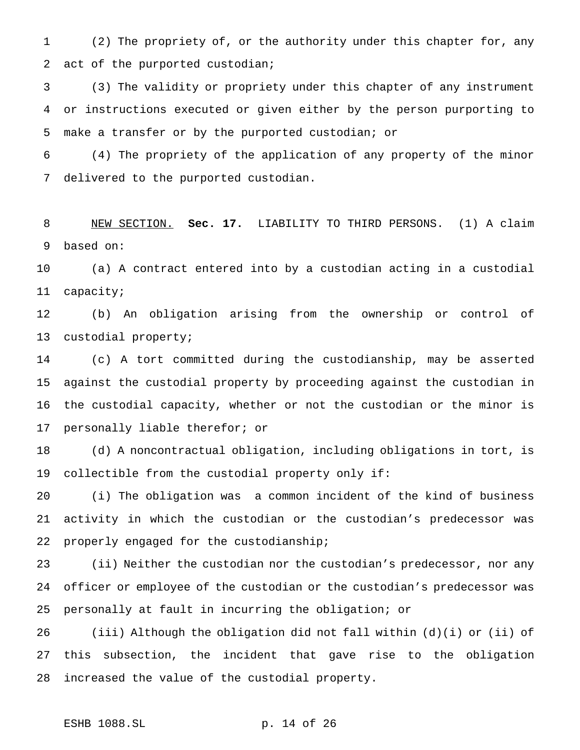(2) The propriety of, or the authority under this chapter for, any act of the purported custodian;

 (3) The validity or propriety under this chapter of any instrument or instructions executed or given either by the person purporting to make a transfer or by the purported custodian; or

 (4) The propriety of the application of any property of the minor delivered to the purported custodian.

 NEW SECTION. **Sec. 17.** LIABILITY TO THIRD PERSONS. (1) A claim based on:

 (a) A contract entered into by a custodian acting in a custodial capacity;

 (b) An obligation arising from the ownership or control of custodial property;

 (c) A tort committed during the custodianship, may be asserted against the custodial property by proceeding against the custodian in the custodial capacity, whether or not the custodian or the minor is personally liable therefor; or

 (d) A noncontractual obligation, including obligations in tort, is collectible from the custodial property only if:

 (i) The obligation was a common incident of the kind of business activity in which the custodian or the custodian's predecessor was properly engaged for the custodianship;

 (ii) Neither the custodian nor the custodian's predecessor, nor any officer or employee of the custodian or the custodian's predecessor was personally at fault in incurring the obligation; or

 (iii) Although the obligation did not fall within (d)(i) or (ii) of this subsection, the incident that gave rise to the obligation increased the value of the custodial property.

## ESHB 1088.SL p. 14 of 26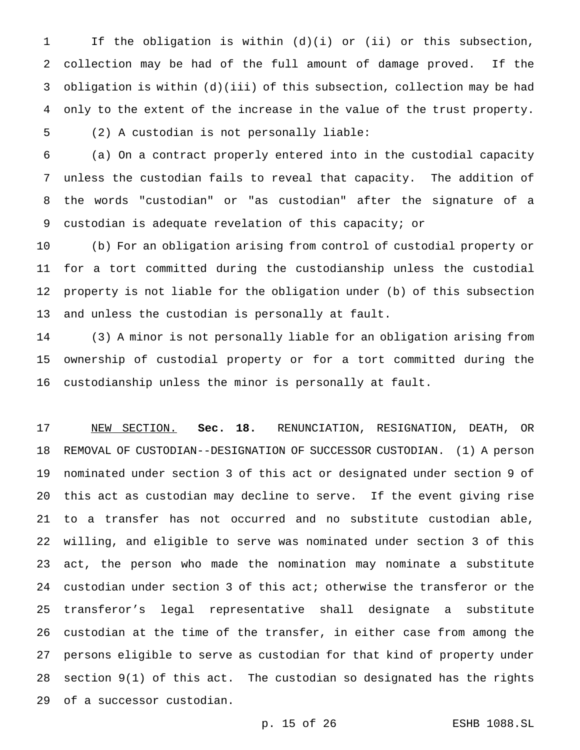If the obligation is within (d)(i) or (ii) or this subsection, collection may be had of the full amount of damage proved. If the obligation is within (d)(iii) of this subsection, collection may be had only to the extent of the increase in the value of the trust property. (2) A custodian is not personally liable:

 (a) On a contract properly entered into in the custodial capacity unless the custodian fails to reveal that capacity. The addition of the words "custodian" or "as custodian" after the signature of a custodian is adequate revelation of this capacity; or

 (b) For an obligation arising from control of custodial property or for a tort committed during the custodianship unless the custodial property is not liable for the obligation under (b) of this subsection and unless the custodian is personally at fault.

 (3) A minor is not personally liable for an obligation arising from ownership of custodial property or for a tort committed during the custodianship unless the minor is personally at fault.

 NEW SECTION. **Sec. 18.** RENUNCIATION, RESIGNATION, DEATH, OR REMOVAL OF CUSTODIAN--DESIGNATION OF SUCCESSOR CUSTODIAN. (1) A person nominated under section 3 of this act or designated under section 9 of this act as custodian may decline to serve. If the event giving rise to a transfer has not occurred and no substitute custodian able, willing, and eligible to serve was nominated under section 3 of this act, the person who made the nomination may nominate a substitute custodian under section 3 of this act; otherwise the transferor or the transferor's legal representative shall designate a substitute custodian at the time of the transfer, in either case from among the persons eligible to serve as custodian for that kind of property under section 9(1) of this act. The custodian so designated has the rights of a successor custodian.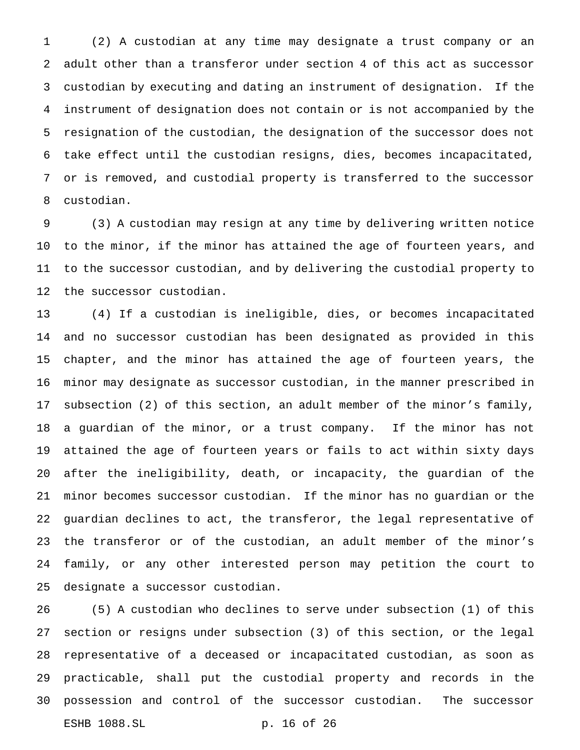(2) A custodian at any time may designate a trust company or an adult other than a transferor under section 4 of this act as successor custodian by executing and dating an instrument of designation. If the instrument of designation does not contain or is not accompanied by the resignation of the custodian, the designation of the successor does not take effect until the custodian resigns, dies, becomes incapacitated, or is removed, and custodial property is transferred to the successor custodian.

 (3) A custodian may resign at any time by delivering written notice to the minor, if the minor has attained the age of fourteen years, and to the successor custodian, and by delivering the custodial property to the successor custodian.

 (4) If a custodian is ineligible, dies, or becomes incapacitated and no successor custodian has been designated as provided in this chapter, and the minor has attained the age of fourteen years, the minor may designate as successor custodian, in the manner prescribed in subsection (2) of this section, an adult member of the minor's family, a guardian of the minor, or a trust company. If the minor has not attained the age of fourteen years or fails to act within sixty days after the ineligibility, death, or incapacity, the guardian of the minor becomes successor custodian. If the minor has no guardian or the guardian declines to act, the transferor, the legal representative of the transferor or of the custodian, an adult member of the minor's family, or any other interested person may petition the court to designate a successor custodian.

 (5) A custodian who declines to serve under subsection (1) of this section or resigns under subsection (3) of this section, or the legal representative of a deceased or incapacitated custodian, as soon as practicable, shall put the custodial property and records in the possession and control of the successor custodian. The successor ESHB 1088.SL p. 16 of 26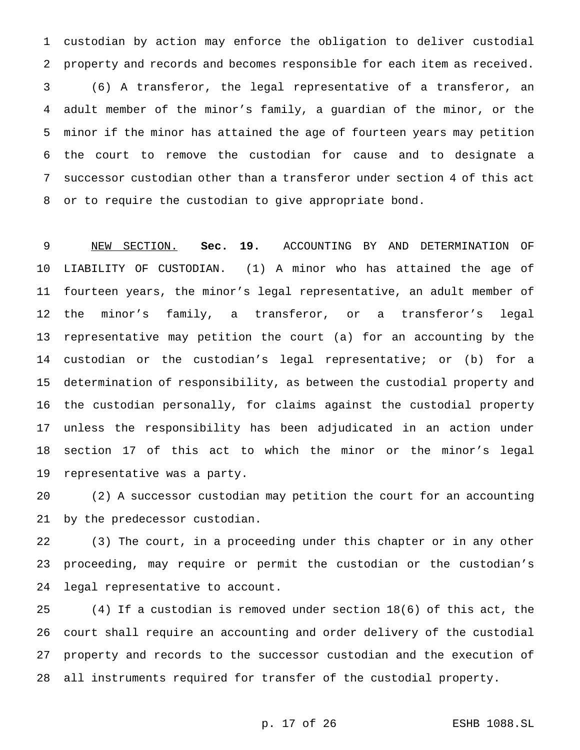custodian by action may enforce the obligation to deliver custodial property and records and becomes responsible for each item as received. (6) A transferor, the legal representative of a transferor, an adult member of the minor's family, a guardian of the minor, or the minor if the minor has attained the age of fourteen years may petition the court to remove the custodian for cause and to designate a successor custodian other than a transferor under section 4 of this act or to require the custodian to give appropriate bond.

 NEW SECTION. **Sec. 19.** ACCOUNTING BY AND DETERMINATION OF LIABILITY OF CUSTODIAN. (1) A minor who has attained the age of fourteen years, the minor's legal representative, an adult member of the minor's family, a transferor, or a transferor's legal representative may petition the court (a) for an accounting by the custodian or the custodian's legal representative; or (b) for a determination of responsibility, as between the custodial property and the custodian personally, for claims against the custodial property unless the responsibility has been adjudicated in an action under section 17 of this act to which the minor or the minor's legal representative was a party.

 (2) A successor custodian may petition the court for an accounting by the predecessor custodian.

 (3) The court, in a proceeding under this chapter or in any other proceeding, may require or permit the custodian or the custodian's legal representative to account.

 (4) If a custodian is removed under section 18(6) of this act, the court shall require an accounting and order delivery of the custodial property and records to the successor custodian and the execution of all instruments required for transfer of the custodial property.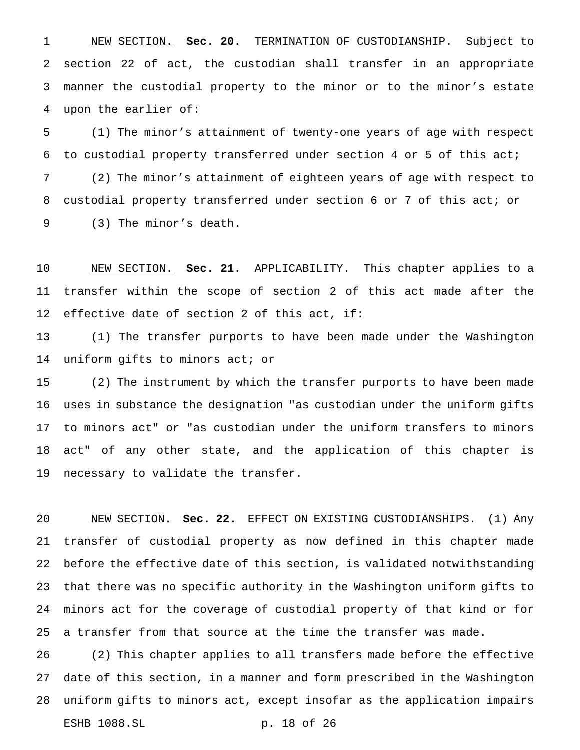NEW SECTION. **Sec. 20.** TERMINATION OF CUSTODIANSHIP. Subject to section 22 of act, the custodian shall transfer in an appropriate manner the custodial property to the minor or to the minor's estate upon the earlier of:

 (1) The minor's attainment of twenty-one years of age with respect to custodial property transferred under section 4 or 5 of this act; (2) The minor's attainment of eighteen years of age with respect to custodial property transferred under section 6 or 7 of this act; or (3) The minor's death.

 NEW SECTION. **Sec. 21.** APPLICABILITY. This chapter applies to a transfer within the scope of section 2 of this act made after the effective date of section 2 of this act, if:

 (1) The transfer purports to have been made under the Washington uniform gifts to minors act; or

 (2) The instrument by which the transfer purports to have been made uses in substance the designation "as custodian under the uniform gifts to minors act" or "as custodian under the uniform transfers to minors act" of any other state, and the application of this chapter is necessary to validate the transfer.

 NEW SECTION. **Sec. 22.** EFFECT ON EXISTING CUSTODIANSHIPS. (1) Any transfer of custodial property as now defined in this chapter made before the effective date of this section, is validated notwithstanding that there was no specific authority in the Washington uniform gifts to minors act for the coverage of custodial property of that kind or for a transfer from that source at the time the transfer was made.

 (2) This chapter applies to all transfers made before the effective date of this section, in a manner and form prescribed in the Washington uniform gifts to minors act, except insofar as the application impairs ESHB 1088.SL p. 18 of 26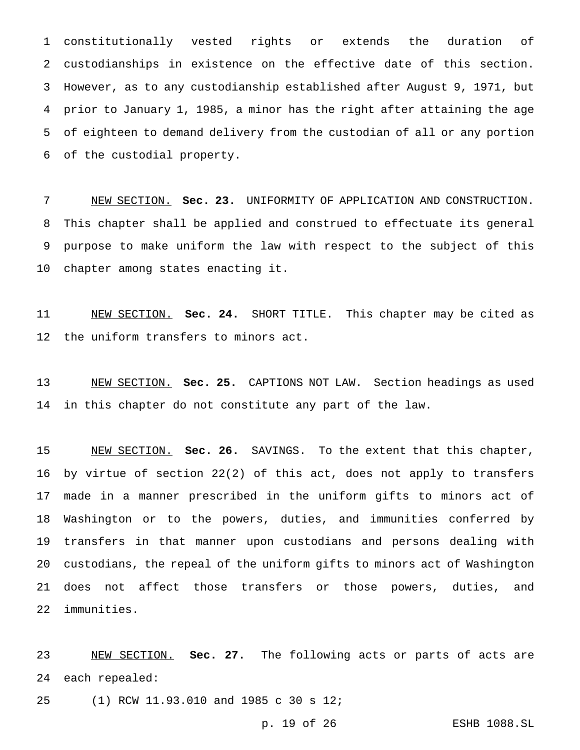constitutionally vested rights or extends the duration of custodianships in existence on the effective date of this section. However, as to any custodianship established after August 9, 1971, but prior to January 1, 1985, a minor has the right after attaining the age of eighteen to demand delivery from the custodian of all or any portion of the custodial property.

 NEW SECTION. **Sec. 23.** UNIFORMITY OF APPLICATION AND CONSTRUCTION. This chapter shall be applied and construed to effectuate its general purpose to make uniform the law with respect to the subject of this chapter among states enacting it.

 NEW SECTION. **Sec. 24.** SHORT TITLE. This chapter may be cited as the uniform transfers to minors act.

 NEW SECTION. **Sec. 25.** CAPTIONS NOT LAW. Section headings as used in this chapter do not constitute any part of the law.

 NEW SECTION. **Sec. 26.** SAVINGS. To the extent that this chapter, by virtue of section 22(2) of this act, does not apply to transfers made in a manner prescribed in the uniform gifts to minors act of Washington or to the powers, duties, and immunities conferred by transfers in that manner upon custodians and persons dealing with custodians, the repeal of the uniform gifts to minors act of Washington does not affect those transfers or those powers, duties, and immunities.

 NEW SECTION. **Sec. 27.** The following acts or parts of acts are each repealed:

(1) RCW 11.93.010 and 1985 c 30 s 12;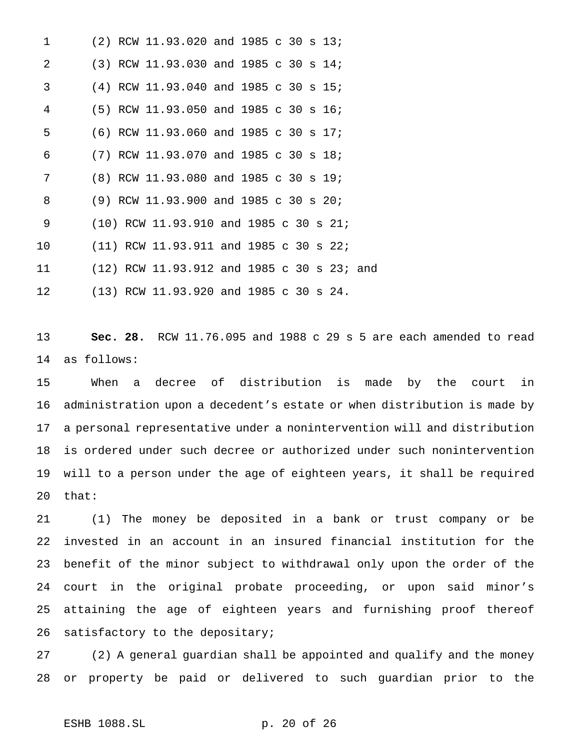| $\mathbf 1$     | (2) RCW 11.93.020 and 1985 c 30 s 13;      |
|-----------------|--------------------------------------------|
| 2               | (3) RCW 11.93.030 and 1985 c 30 s 14;      |
| 3               | (4) RCW 11.93.040 and 1985 c 30 s 15;      |
| 4               | (5) RCW 11.93.050 and 1985 c 30 s 16;      |
| 5               | (6) RCW 11.93.060 and 1985 c 30 s 17;      |
| 6               | (7) RCW 11.93.070 and 1985 c 30 s 18;      |
| 7               | (8) RCW 11.93.080 and 1985 c 30 s 19;      |
| 8               | (9) RCW 11.93.900 and 1985 c 30 s 20;      |
| 9               | (10) RCW 11.93.910 and 1985 c 30 s 21;     |
| 10              | (11) RCW 11.93.911 and 1985 c 30 s 22;     |
| 11              | (12) RCW 11.93.912 and 1985 c 30 s 23; and |
| 12 <sup>°</sup> | $(13)$ RCW 11.93.920 and 1985 c 30 s 24.   |

 **Sec. 28.** RCW 11.76.095 and 1988 c 29 s 5 are each amended to read as follows:

 When a decree of distribution is made by the court in administration upon a decedent's estate or when distribution is made by a personal representative under a nonintervention will and distribution is ordered under such decree or authorized under such nonintervention will to a person under the age of eighteen years, it shall be required that:

 (1) The money be deposited in a bank or trust company or be invested in an account in an insured financial institution for the benefit of the minor subject to withdrawal only upon the order of the court in the original probate proceeding, or upon said minor's attaining the age of eighteen years and furnishing proof thereof satisfactory to the depositary;

 (2) A general guardian shall be appointed and qualify and the money or property be paid or delivered to such guardian prior to the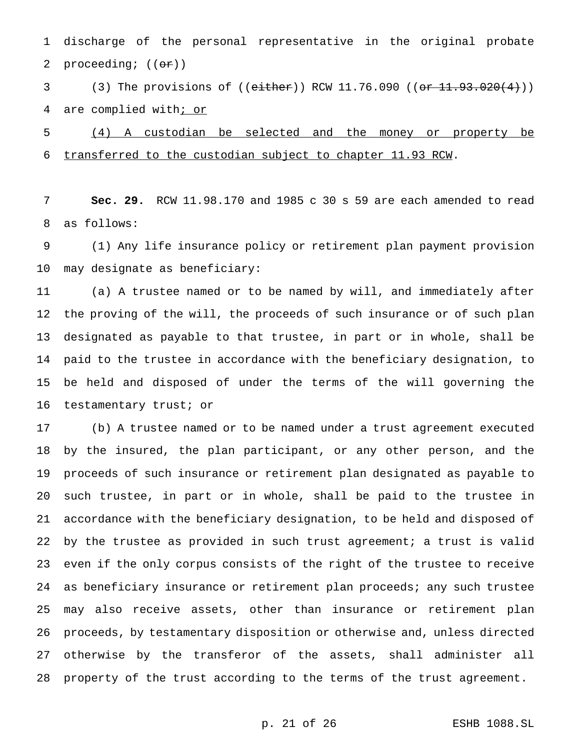discharge of the personal representative in the original probate 2 proceeding;  $((\theta \cdot \mathbf{r}))$ 

3 (3) The provisions of ((either)) RCW 11.76.090 (( $\overline{or\ 11.93.020(4)}})$ ) 4 are complied with; or

 (4) A custodian be selected and the money or property be transferred to the custodian subject to chapter 11.93 RCW.

 **Sec. 29.** RCW 11.98.170 and 1985 c 30 s 59 are each amended to read as follows:

 (1) Any life insurance policy or retirement plan payment provision may designate as beneficiary:

 (a) A trustee named or to be named by will, and immediately after the proving of the will, the proceeds of such insurance or of such plan designated as payable to that trustee, in part or in whole, shall be paid to the trustee in accordance with the beneficiary designation, to be held and disposed of under the terms of the will governing the testamentary trust; or

 (b) A trustee named or to be named under a trust agreement executed by the insured, the plan participant, or any other person, and the proceeds of such insurance or retirement plan designated as payable to such trustee, in part or in whole, shall be paid to the trustee in accordance with the beneficiary designation, to be held and disposed of by the trustee as provided in such trust agreement; a trust is valid even if the only corpus consists of the right of the trustee to receive as beneficiary insurance or retirement plan proceeds; any such trustee may also receive assets, other than insurance or retirement plan proceeds, by testamentary disposition or otherwise and, unless directed otherwise by the transferor of the assets, shall administer all property of the trust according to the terms of the trust agreement.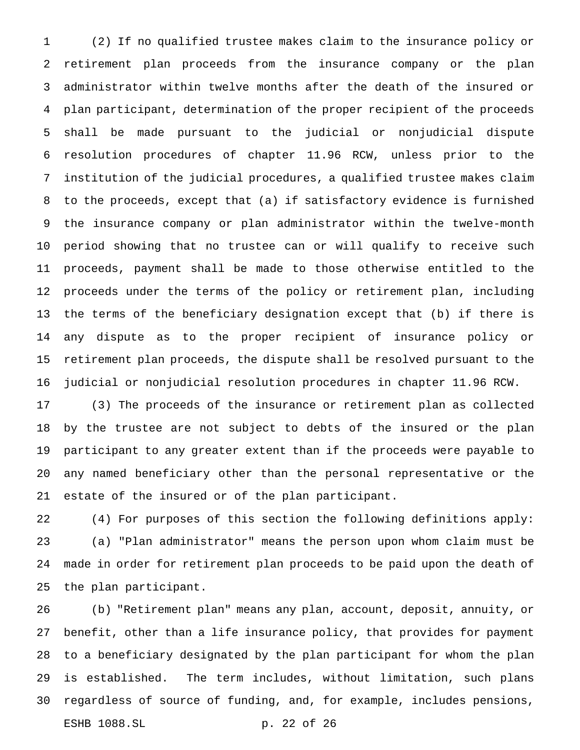(2) If no qualified trustee makes claim to the insurance policy or retirement plan proceeds from the insurance company or the plan administrator within twelve months after the death of the insured or plan participant, determination of the proper recipient of the proceeds shall be made pursuant to the judicial or nonjudicial dispute resolution procedures of chapter 11.96 RCW, unless prior to the institution of the judicial procedures, a qualified trustee makes claim to the proceeds, except that (a) if satisfactory evidence is furnished the insurance company or plan administrator within the twelve-month period showing that no trustee can or will qualify to receive such proceeds, payment shall be made to those otherwise entitled to the proceeds under the terms of the policy or retirement plan, including the terms of the beneficiary designation except that (b) if there is any dispute as to the proper recipient of insurance policy or retirement plan proceeds, the dispute shall be resolved pursuant to the judicial or nonjudicial resolution procedures in chapter 11.96 RCW.

 (3) The proceeds of the insurance or retirement plan as collected by the trustee are not subject to debts of the insured or the plan participant to any greater extent than if the proceeds were payable to any named beneficiary other than the personal representative or the estate of the insured or of the plan participant.

 (4) For purposes of this section the following definitions apply: (a) "Plan administrator" means the person upon whom claim must be made in order for retirement plan proceeds to be paid upon the death of the plan participant.

 (b) "Retirement plan" means any plan, account, deposit, annuity, or benefit, other than a life insurance policy, that provides for payment to a beneficiary designated by the plan participant for whom the plan is established. The term includes, without limitation, such plans regardless of source of funding, and, for example, includes pensions, ESHB 1088.SL p. 22 of 26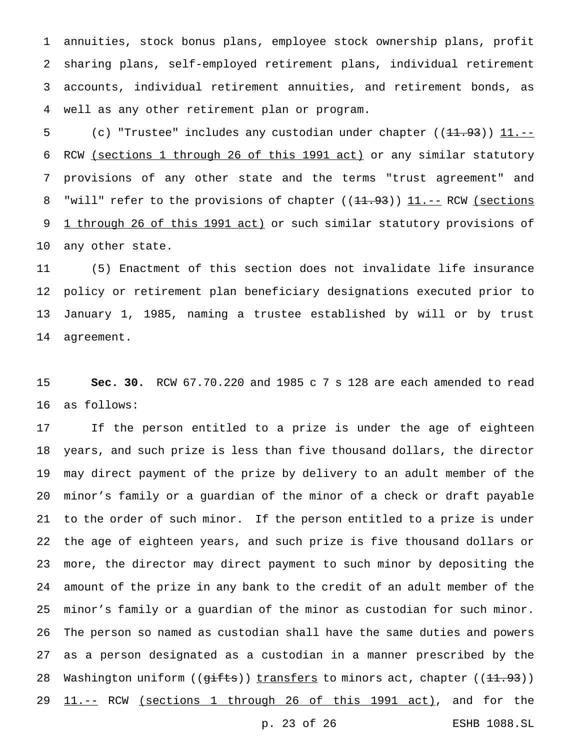annuities, stock bonus plans, employee stock ownership plans, profit sharing plans, self-employed retirement plans, individual retirement accounts, individual retirement annuities, and retirement bonds, as well as any other retirement plan or program.

5 (c) "Trustee" includes any custodian under chapter ((<del>11.93</del>)) <u>11.--</u> RCW (sections 1 through 26 of this 1991 act) or any similar statutory provisions of any other state and the terms "trust agreement" and 8 "will" refer to the provisions of chapter ((<del>11.93)) 11.--</del> RCW (sections 9 1 through 26 of this 1991 act) or such similar statutory provisions of any other state.

 (5) Enactment of this section does not invalidate life insurance policy or retirement plan beneficiary designations executed prior to January 1, 1985, naming a trustee established by will or by trust agreement.

 **Sec. 30.** RCW 67.70.220 and 1985 c 7 s 128 are each amended to read as follows:

 If the person entitled to a prize is under the age of eighteen years, and such prize is less than five thousand dollars, the director may direct payment of the prize by delivery to an adult member of the minor's family or a guardian of the minor of a check or draft payable to the order of such minor. If the person entitled to a prize is under the age of eighteen years, and such prize is five thousand dollars or more, the director may direct payment to such minor by depositing the amount of the prize in any bank to the credit of an adult member of the minor's family or a guardian of the minor as custodian for such minor. The person so named as custodian shall have the same duties and powers as a person designated as a custodian in a manner prescribed by the 28 Washington uniform ((gifts)) transfers to minors act, chapter ((11.93)) 29 11.-- RCW (sections 1 through 26 of this 1991 act), and for the p. 23 of 26 ESHB 1088.SL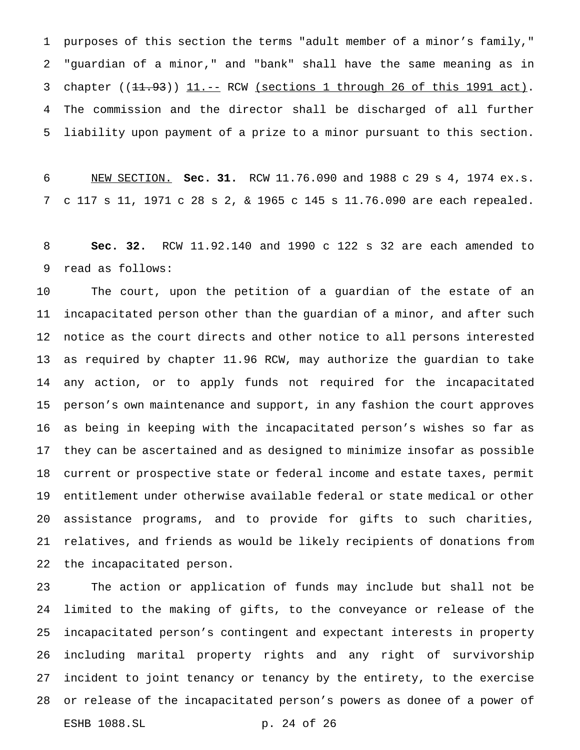purposes of this section the terms "adult member of a minor's family," "guardian of a minor," and "bank" shall have the same meaning as in 3 chapter ((11.93)) 11.-- RCW (sections 1 through 26 of this 1991 act). The commission and the director shall be discharged of all further liability upon payment of a prize to a minor pursuant to this section.

 NEW SECTION. **Sec. 31.** RCW 11.76.090 and 1988 c 29 s 4, 1974 ex.s. c 117 s 11, 1971 c 28 s 2, & 1965 c 145 s 11.76.090 are each repealed.

 **Sec. 32.** RCW 11.92.140 and 1990 c 122 s 32 are each amended to read as follows:

 The court, upon the petition of a guardian of the estate of an incapacitated person other than the guardian of a minor, and after such notice as the court directs and other notice to all persons interested as required by chapter 11.96 RCW, may authorize the guardian to take any action, or to apply funds not required for the incapacitated person's own maintenance and support, in any fashion the court approves as being in keeping with the incapacitated person's wishes so far as they can be ascertained and as designed to minimize insofar as possible current or prospective state or federal income and estate taxes, permit entitlement under otherwise available federal or state medical or other assistance programs, and to provide for gifts to such charities, relatives, and friends as would be likely recipients of donations from the incapacitated person.

 The action or application of funds may include but shall not be limited to the making of gifts, to the conveyance or release of the incapacitated person's contingent and expectant interests in property including marital property rights and any right of survivorship incident to joint tenancy or tenancy by the entirety, to the exercise or release of the incapacitated person's powers as donee of a power of ESHB 1088.SL p. 24 of 26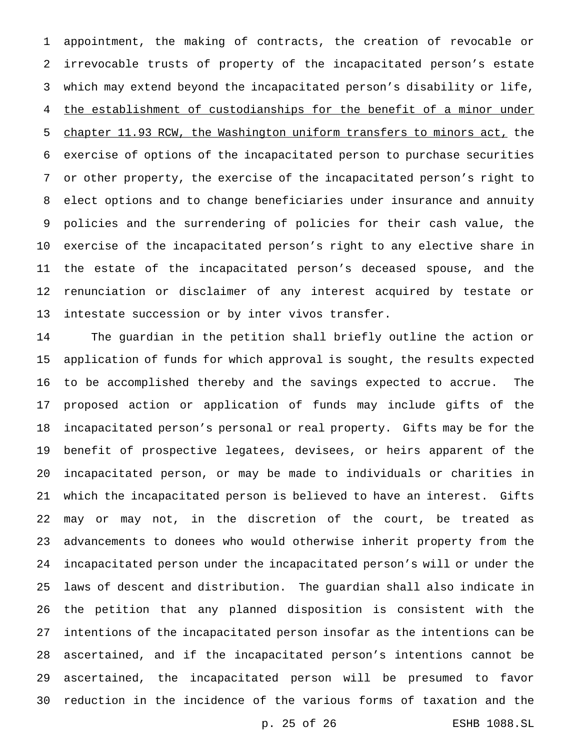appointment, the making of contracts, the creation of revocable or irrevocable trusts of property of the incapacitated person's estate which may extend beyond the incapacitated person's disability or life, 4 the establishment of custodianships for the benefit of a minor under chapter 11.93 RCW, the Washington uniform transfers to minors act, the exercise of options of the incapacitated person to purchase securities or other property, the exercise of the incapacitated person's right to elect options and to change beneficiaries under insurance and annuity policies and the surrendering of policies for their cash value, the exercise of the incapacitated person's right to any elective share in the estate of the incapacitated person's deceased spouse, and the renunciation or disclaimer of any interest acquired by testate or intestate succession or by inter vivos transfer.

 The guardian in the petition shall briefly outline the action or application of funds for which approval is sought, the results expected to be accomplished thereby and the savings expected to accrue. The proposed action or application of funds may include gifts of the incapacitated person's personal or real property. Gifts may be for the benefit of prospective legatees, devisees, or heirs apparent of the incapacitated person, or may be made to individuals or charities in which the incapacitated person is believed to have an interest. Gifts may or may not, in the discretion of the court, be treated as advancements to donees who would otherwise inherit property from the incapacitated person under the incapacitated person's will or under the laws of descent and distribution. The guardian shall also indicate in the petition that any planned disposition is consistent with the intentions of the incapacitated person insofar as the intentions can be ascertained, and if the incapacitated person's intentions cannot be ascertained, the incapacitated person will be presumed to favor reduction in the incidence of the various forms of taxation and the